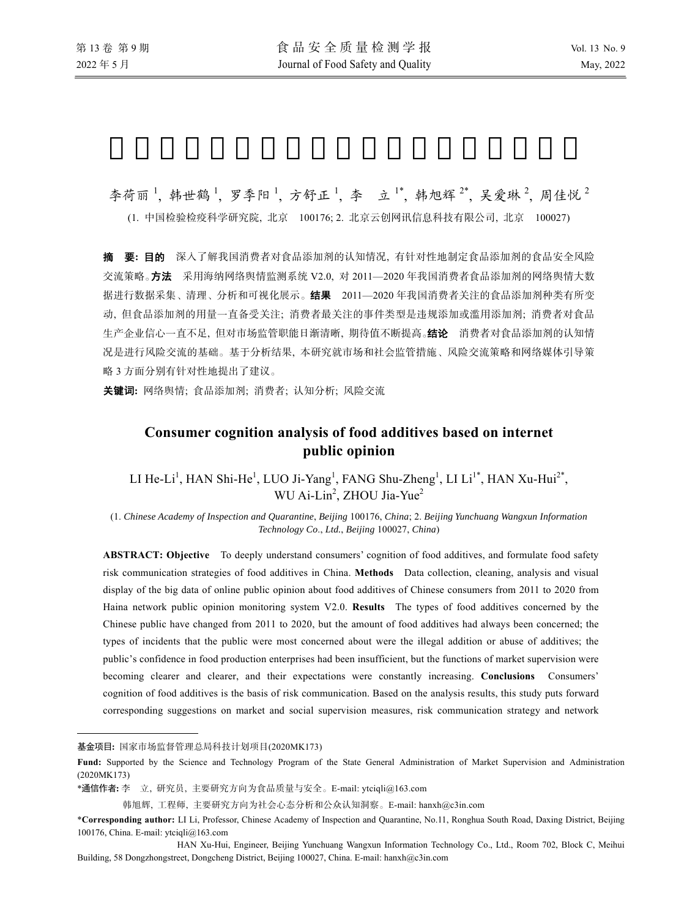李荷丽<sup>1</sup>,韩世鹤<sup>1</sup>,罗季阳<sup>1</sup>,方舒正<sup>1</sup>,李 立<sup>1\*</sup>,韩旭辉<sup>2\*</sup>,吴爱琳<sup>2</sup>,周佳悦<sup>2</sup>

(1. 中国检验检疫科学研究院, 北京 100176; 2. 北京云创网讯信息科技有限公司, 北京 100027)

摘要**:** 目的 深入了解我国消费者对食品添加剂的认知情况, 有针对性地制定食品添加剂的食品安全风险 交流策略。方法采用海纳网络舆情监测系统 V2.0, 对 2011—2020 年我国消费者食品添加剂的网络舆情大数 据进行数据采集、清理、分析和可视化展示。结果2011—2020 年我国消费者关注的食品添加剂种类有所变 动, 但食品添加剂的用量一直备受关注; 消费者最关注的事件类型是违规添加或滥用添加剂; 消费者对食品 生产企业信心一直不足, 但对市场监管职能日渐清晰, 期待值不断提高。结论消费者对食品添加剂的认知情 况是进行风险交流的基础。基于分析结果, 本研究就市场和社会监管措施、风险交流策略和网络媒体引导策 略 3 方面分别有针对性地提出了建议。

关键词**:** 网络舆情; 食品添加剂; 消费者; 认知分析; 风险交流

# **Consumer cognition analysis of food additives based on internet public opinion**

LI He-Li<sup>1</sup>, HAN Shi-He<sup>1</sup>, LUO Ji-Yang<sup>1</sup>, FANG Shu-Zheng<sup>1</sup>, LI Li<sup>1\*</sup>, HAN Xu-Hui<sup>2\*</sup>, WU Ai-Lin<sup>2</sup>, ZHOU Jia-Yue<sup>2</sup>

(1. *Chinese Academy of Inspection and Quarantine*, *Beijing* 100176, *China*; 2. *Beijing Yunchuang Wangxun Information Technology Co*., *Ltd.*, *Beijing* 100027, *China*)

**ABSTRACT: Objective** To deeply understand consumers' cognition of food additives, and formulate food safety risk communication strategies of food additives in China. **Methods** Data collection, cleaning, analysis and visual display of the big data of online public opinion about food additives of Chinese consumers from 2011 to 2020 from Haina network public opinion monitoring system V2.0. **Results** The types of food additives concerned by the Chinese public have changed from 2011 to 2020, but the amount of food additives had always been concerned; the types of incidents that the public were most concerned about were the illegal addition or abuse of additives; the public's confidence in food production enterprises had been insufficient, but the functions of market supervision were becoming clearer and clearer, and their expectations were constantly increasing. **Conclusions** Consumers' cognition of food additives is the basis of risk communication. Based on the analysis results, this study puts forward corresponding suggestions on market and social supervision measures, risk communication strategy and network

l

基金项目**:** 国家市场监督管理总局科技计划项目(2020MK173)

**Fund:** Supported by the Science and Technology Program of the State General Administration of Market Supervision and Administration (2020MK173)

<sup>\*</sup>通信作者**:** 李 立, 研究员, 主要研究方向为食品质量与安全。E-mail: ytciqli@163.com

韩旭辉, 工程师, 主要研究方向为社会心态分析和公众认知洞察。E-mail: hanxh@c3in.com

<sup>\*</sup>**Corresponding author:** LI Li, Professor, Chinese Academy of Inspection and Quarantine, No.11, Ronghua South Road, Daxing District, Beijing 100176, China. E-mail: ytciqli@163.com

HAN Xu-Hui, Engineer, Beijing Yunchuang Wangxun Information Technology Co., Ltd., Room 702, Block C, Meihui Building, 58 Dongzhongstreet, Dongcheng District, Beijing 100027, China. E-mail: hanxh@c3in.com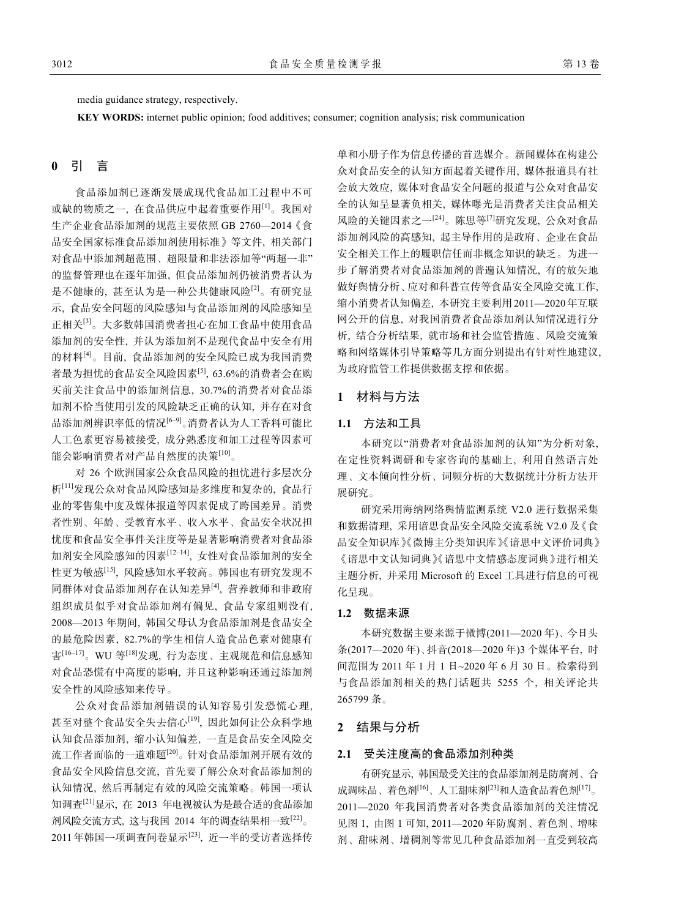media guidance strategy, respectively.

**KEY WORDS:** internet public opinion; food additives; consumer; cognition analysis; risk communication

### **0** 引 言

食品添加剂已逐渐发展成现代食品加工过程中不可 或缺的物质之一, 在食品供应中起着重要作用[1]。我国对 生产企业食品添加剂的规范主要依照 GB 2760—2014《食 品安全国家标准食品添加剂使用标准》等文件, 相关部门 对食品中添加剂超范围、超限量和非法添加等"两超一非" 的监督管理也在逐年加强, 但食品添加剂仍被消费者认为 是不健康的, 甚至认为是一种公共健康风险[2]。有研究显 示, 食品安全问题的风险感知与食品添加剂的风险感知呈 正相关[3]。大多数韩国消费者担心在加工食品中使用食品 添加剂的安全性, 并认为添加剂不是现代食品中安全有用 的材料[4]。目前, 食品添加剂的安全风险已成为我国消费 者最为担忧的食品安全风险因素[5], 63.6%的消费者会在购 买前关注食品中的添加剂信息, 30.7%的消费者对食品添 加剂不恰当使用引发的风险缺乏正确的认知, 并存在对食 品添加剂辨识率低的情况[6‒9]。消费者认为人工香料可能比 人工色素更容易被接受, 成分熟悉度和加工过程等因素可 能会影响消费者对产品自然度的决策[10]。

对 26 个欧洲国家公众食品风险的担忧进行多层次分 析[11]发现公众对食品风险感知是多维度和复杂的, 食品行 业的零售集中度及媒体报道等因素促成了跨国差异。消费 者性别、年龄、受教育水平、收入水平、食品安全状况担 忧度和食品安全事件关注度等是显著影响消费者对食品添 加剂安全风险感知的因素[12-14], 女性对食品添加剂的安全 性更为敏感[15], 风险感知水平较高。韩国也有研究发现不 同群体对食品添加剂存在认知差异[4], 营养教师和非政府 组织成员似乎对食品添加剂有偏见, 食品专家组则没有, 2008—2013 年期间, 韩国父母认为食品添加剂是食品安全 的最危险因素, 82.7%的学生相信人造食品色素对健康有 害<sup>[16-17]</sup>。WU 等<sup>[18]</sup>发现, 行为态度、主观规范和信息感知 对食品恐慌有中高度的影响, 并且这种影响还通过添加剂 安全性的风险感知来传导。

公众对食品添加剂错误的认知容易引发恐慌心理, 甚至对整个食品安全失去信心[19], 因此如何让公众科学地 认知食品添加剂, 缩小认知偏差, 一直是食品安全风险交 流工作者面临的一道难题[20]。针对食品添加剂开展有效的 食品安全风险信息交流, 首先要了解公众对食品添加剂的 认知情况, 然后再制定有效的风险交流策略。韩国一项认 知调查<sup>[21]</sup>显示, 在 2013 年电视被认为是最合适的食品添加 剂风险交流方式, 这与我国 2014 年的调查结果相一致[22]。 2011年韩国一项调查问卷显示[23], 近一半的受访者选择传

单和小册子作为信息传播的首选媒介。新闻媒体在构建公 众对食品安全的认知方面起着关键作用, 媒体报道具有社 会放大效应, 媒体对食品安全问题的报道与公众对食品安 全的认知呈显著负相关, 媒体曝光是消费者关注食品相关 风险的关键因素之一[24]。陈思等[7]研究发现, 公众对食品 添加剂风险的高感知, 起主导作用的是政府、企业在食品 安全相关工作上的履职信任而非概念知识的缺乏。为进一 步了解消费者对食品添加剂的普遍认知情况, 有的放矢地 做好舆情分析、应对和科普宣传等食品安全风险交流工作, 缩小消费者认知偏差, 本研究主要利用2011—2020年互联 网公开的信息, 对我国消费者食品添加剂认知情况进行分 析, 结合分析结果, 就市场和社会监管措施、风险交流策 略和网络媒体引导策略等几方面分别提出有针对性地建议, 为政府监管工作提供数据支撑和依据。

### **1** 材料与方法

#### **1.1** 方法和工具

本研究以"消费者对食品添加剂的认知"为分析对象, 在定性资料调研和专家咨询的基础上, 利用自然语言处 理、文本倾向性分析、词频分析的大数据统计分析方法开 展研究。

研究采用海纳网络舆情监测系统 V2.0 进行数据采集 和数据清理, 采用谙思食品安全风险交流系统 V2.0 及《食 品安全知识库》《微博主分类知识库》《谙思中文评价词典》 《谙思中文认知词典》《请感态度词典》进行相关 主题分析, 并采用 Microsoft 的 Excel 工具进行信息的可视 化呈现。

#### **1.2** 数据来源

本研究数据主要来源于微博(2011—2020 年)、今日头 条(2017—2020 年)、抖音(2018—2020 年)3 个媒体平台, 时 间范围为 2011 年 1 月 1 日~2020 年 6 月 30 日。检索得到 与食品添加剂相关的热门话题共 5255 个, 相关评论共 265799 条。

### **2** 结果与分析

### **2.1** 受关注度高的食品添加剂种类

有研究显示, 韩国最受关注的食品添加剂是防腐剂、合 成调味品、着色剂[16]、人工甜味剂[23]和人造食品着色剂[17]。 2011—2020 年我国消费者对各类食品添加剂的关注情况 见图 1, 由图 1 可知, 2011—2020 年防腐剂、着色剂、增味 剂、甜味剂、增稠剂等常见几种食品添加剂一直受到较高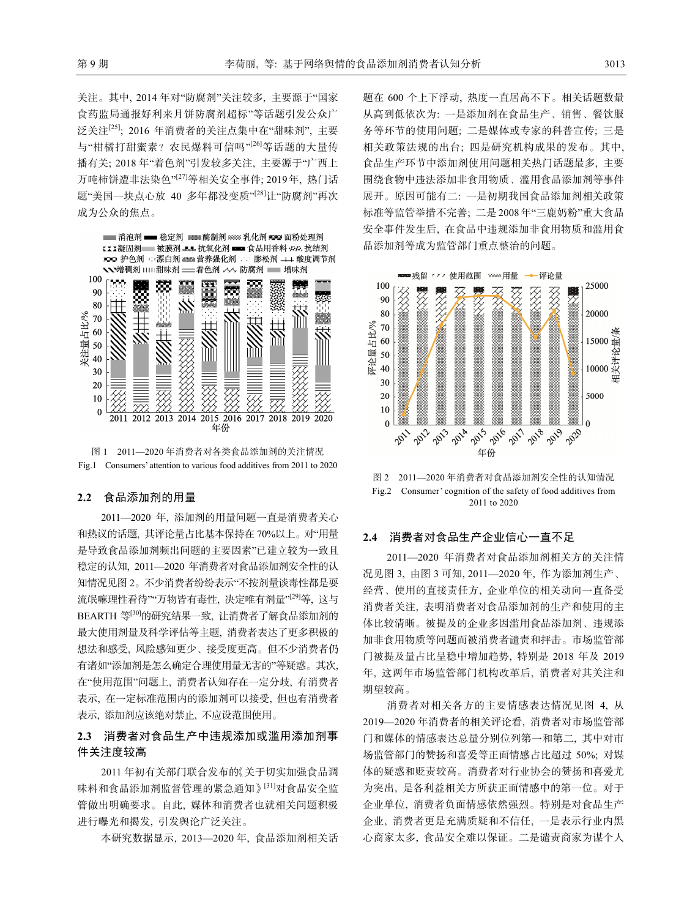关注。其中, 2014 年对"防腐剂"关注较多, 主要源于"国家 食药监局通报好利来月饼防腐剂超标"等话题引发公众广 泛关注[25]; 2016 年消费者的关注点集中在"甜味剂", 主要 与"柑橘打甜蜜素? 农民爆料可信吗"<sup>[26]</sup>等话题的大量传 播有关; 2018 年"着色剂"引发较多关注, 主要源于"广西上 万吨柿饼遭非法染色"[27]等相关安全事件; 2019年, 热门话 题"美国一块点心放 40 多年都没变质"[28]让"防腐剂"再次 成为公众的焦点。



图 1 2011—2020 年消费者对各类食品添加剂的关注情况 Fig.1 Consumers' attention to various food additives from 2011 to 2020

### **2.2** 食品添加剂的用量

2011—2020 年, 添加剂的用量问题一直是消费者关心 和热议的话题, 其评论量占比基本保持在 70%以上。对"用量 是导致食品添加剂频出问题的主要因素"已建立较为一致且 稳定的认知, 2011—2020 年消费者对食品添加剂安全性的认 知情况见图 2。不少消费者纷纷表示"不按剂量谈毒性都是耍 流氓嘛理性看待""万物皆有毒性, 决定唯有剂量"<sup>[29]</sup>等, 这与 BEARTH 等<sup>[30]</sup>的研究结果一致, 让消费者了解食品添加剂的 最大使用剂量及科学评估等主题, 消费者表达了更多积极的 想法和感受, 风险感知更少、接受度更高。但不少消费者仍 有诸如"添加剂是怎么确定合理使用量无害的"等疑惑。其次, 在"使用范围"问题上, 消费者认知存在一定分歧, 有消费者 表示, 在一定标准范围内的添加剂可以接受, 但也有消费者 表示, 添加剂应该绝对禁止, 不应设范围使用。

## **2.3** 消费者对食品生产中违规添加或滥用添加剂事 件关注度较高

2011 年初有关部门联合发布的《关于切实加强食品调 味料和食品添加剂监督管理的紧急通知》[31]对食品安全监 管做出明确要求。自此, 媒体和消费者也就相关问题积极 进行曝光和揭发, 引发舆论广泛关注。

本研究数据显示, 2013—2020 年, 食品添加剂相关话

题在 600 个上下浮动, 热度一直居高不下。相关话题数量 从高到低依次为: 一是添加剂在食品生产、销售、餐饮服 务等环节的使用问题; 二是媒体或专家的科普宣传; 三是 相关政策法规的出台; 四是研究机构成果的发布。其中, 食品生产环节中添加剂使用问题相关热门话题最多, 主要 围绕食物中违法添加非食用物质、滥用食品添加剂等事件 展开。原因可能有二: 一是初期我国食品添加剂相关政策 标准等监管举措不完善; 二是 2008 年"三鹿奶粉"重大食品 安全事件发生后, 在食品中违规添加非食用物质和滥用食 品添加剂等成为监管部门重点整治的问题。



图 2 2011—2020 年消费者对食品添加剂安全性的认知情况 Fig.2 Consumer' cognition of the safety of food additives from 2011 to 2020

### **2.4** 消费者对食品生产企业信心一直不足

2011—2020 年消费者对食品添加剂相关方的关注情 况见图 3, 由图 3 可知, 2011—2020 年, 作为添加剂生产、 经营、使用的直接责任方, 企业单位的相关动向一直备受 消费者关注, 表明消费者对食品添加剂的生产和使用的主 体比较清晰。被提及的企业多因滥用食品添加剂、违规添 加非食用物质等问题而被消费者谴责和抨击。市场监管部 门被提及量占比呈稳中增加趋势, 特别是 2018 年及 2019 年, 这两年市场监管部门机构改革后, 消费者对其关注和 期望较高。

消费者对相关各方的主要情感表达情况见图 4, 从 2019—2020 年消费者的相关评论看, 消费者对市场监管部 门和媒体的情感表达总量分别位列第一和第二, 其中对市 场监管部门的赞扬和喜爱等正面情感占比超过 50%; 对媒 体的疑惑和贬责较高。消费者对行业协会的赞扬和喜爱尤 为突出, 是各利益相关方所获正面情感中的第一位。对于 企业单位, 消费者负面情感依然强烈。特别是对食品生产 企业, 消费者更是充满质疑和不信任, 一是表示行业内黑 心商家太多, 食品安全难以保证。二是谴责商家为谋个人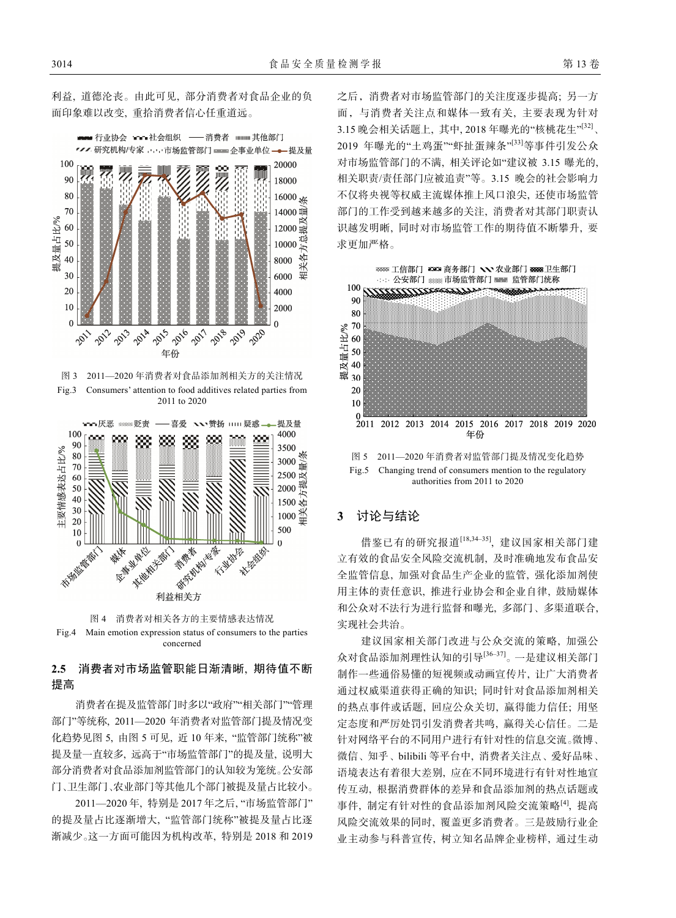利益, 道德沦丧。由此可见, 部分消费者对食品企业的负 面印象难以改变, 重拾消费者信心任重道远。

■ 行业协会 ••••社会组织 —— 消费者 其他部门 【ノノ研究机构/专家 ……市场监管部门 ※※※※※ 企事业单位 –– 提及量 100 20000 则 90 18000 80  $16000 \frac{1}{200}$ 70 14000 提及量占比% 60  $12000$  最 ď 50 10000 正 关各 40 8000 30 6000 要 20 4000  $10$ 2000  $\mathbf{0}$  $\theta$ **POLA** 2022 **PO** 2014 **1955** 2016 2017 2019 **200** 2011 年份 图 3 2011—2020 年消费者对食品添加剂相关方的关注情况

Fig.3 Consumers' attention to food additives related parties from 2011 to 2020





## **2.5** 消费者对市场监管职能日渐清晰, 期待值不断 提高

消费者在提及监管部门时多以"政府""相关部门""管理 部门"等统称, 2011—2020 年消费者对监管部门提及情况变 化趋势见图 5, 由图 5 可见, 近 10 年来, "监管部门统称"被 提及量一直较多, 远高于"市场监管部门"的提及量, 说明大 部分消费者对食品添加剂监管部门的认知较为笼统。公安部 门、卫生部门、农业部门等其他几个部门被提及量占比较小。

2011—2020 年, 特别是 2017 年之后, "市场监管部门" 的提及量占比逐渐增大, "监管部门统称"被提及量占比逐 渐减少。这一方面可能因为机构改革, 特别是 2018 和 2019 之后,消费者对市场监管部门的关注度逐步提高; 另一方 面,与消费者关注点和媒体一致有关, 主要表现为针对 3.15 晚会相关话题上, 其中, 2018 年曝光的"核桃花生"[32]、 2019 年曝光的"土鸡蛋""虾扯蛋辣条"[33]等事件引发公众 对市场监管部门的不满, 相关评论如"建议被 3.15 曝光的, 相关职责/责任部门应被追责"等。3.15 晚会的社会影响力 不仅将央视等权威主流媒体推上风口浪尖, 还使市场监管 部门的工作受到越来越多的关注, 消费者对其部门职责认 识越发明晰, 同时对市场监管工作的期待值不断攀升, 要 求更加严格。



图 5 2011—2020 年消费者对监管部门提及情况变化趋势 Fig.5 Changing trend of consumers mention to the regulatory authorities from 2011 to 2020

### **3** 讨论与结论

借鉴已有的研究报道[18,34‒35], 建议国家相关部门建 立有效的食品安全风险交流机制, 及时准确地发布食品安 全监管信息, 加强对食品生产企业的监管, 强化添加剂使 用主体的责任意识, 推进行业协会和企业自律, 鼓励媒体 和公众对不法行为进行监督和曝光, 多部门、多渠道联合, 实现社会共治。

建议国家相关部门改进与公众交流的策略, 加强公 众对食品添加剂理性认知的引导[36‒37]。一是建议相关部门 制作一些通俗易懂的短视频或动画宣传片, 让广大消费者 通过权威渠道获得正确的知识; 同时针对食品添加剂相关 的热点事件或话题, 回应公众关切, 赢得能力信任; 用坚 定态度和严厉处罚引发消费者共鸣, 赢得关心信任。二是 针对网络平台的不同用户进行有针对性的信息交流。微博、 微信、知乎、bilibili 等平台中, 消费者关注点、爱好品味、 语境表达有着很大差别, 应在不同环境进行有针对性地宣 传互动, 根据消费群体的差异和食品添加剂的热点话题或 事件, 制定有针对性的食品添加剂风险交流策略[4], 提高 风险交流效果的同时, 覆盖更多消费者。三是鼓励行业企 业主动参与科普宣传, 树立知名品牌企业榜样, 通过生动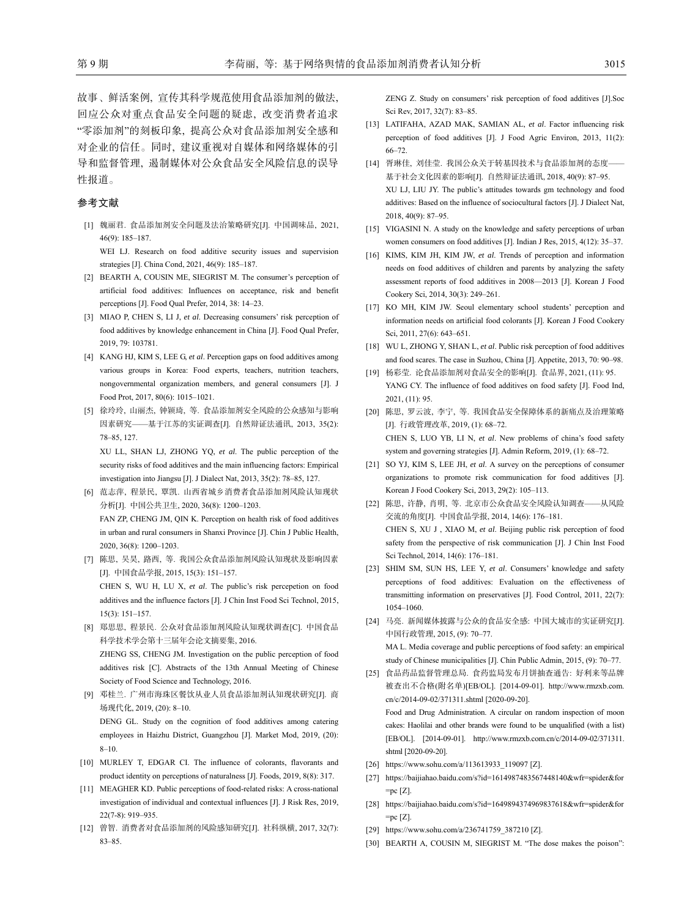故事、鲜活案例, 宣传其科学规范使用食品添加剂的做法, 回应公众对重点食品安全问题的疑虑, 改变消费者追求 "零添加剂"的刻板印象, 提高公众对食品添加剂安全感和 对企业的信任。同时, 建议重视对自媒体和网络媒体的引 导和监督管理, 遏制媒体对公众食品安全风险信息的误导 性报道。

#### 参考文献

[1] 魏丽君. 食品添加剂安全问题及法治策略研究[J]. 中国调味品, 2021, 46(9): 185‒187.

WEI LJ. Research on food additive security issues and supervision strategies [J]. China Cond, 2021, 46(9): 185-187.

- [2] BEARTH A, COUSIN ME, SIEGRIST M. The consumer's perception of artificial food additives: Influences on acceptance, risk and benefit perceptions [J]. Food Qual Prefer, 2014, 38: 14‒23.
- [3] MIAO P, CHEN S, LI J, *et al*. Decreasing consumers' risk perception of food additives by knowledge enhancement in China [J]. Food Qual Prefer, 2019, 79: 103781.
- [4] KANG HJ, KIM S, LEE G, *et al*. Perception gaps on food additives among various groups in Korea: Food experts, teachers, nutrition teachers, nongovernmental organization members, and general consumers [J]. J Food Prot, 2017, 80(6): 1015-1021.
- [5] 徐玲玲, 山丽杰, 钟颖琦, 等. 食品添加剂安全风险的公众感知与影响 因素研究——基于江苏的实证调查[J]. 自然辩证法通讯, 2013, 35(2): 78‒85, 127. XU LL, SHAN LJ, ZHONG YQ, *et al*. The public perception of the

security risks of food additives and the main influencing factors: Empirical investigation into Jiangsu [J]. J Dialect Nat, 2013, 35(2): 78‒85, 127.

- [6] 范志萍, 程景民, 覃凯. 山西省城乡消费者食品添加剂风险认知现状 分析[J]. 中国公共卫生, 2020, 36(8): 1200‒1203. FAN ZP, CHENG JM, QIN K. Perception on health risk of food additives in urban and rural consumers in Shanxi Province [J]. Chin J Public Health, 2020, 36(8): 1200‒1203.
- [7] 陈思, 吴昊, 路西, 等. 我国公众食品添加剂风险认知现状及影响因素 [J]. 中国食品学报, 2015, 15(3): 151‒157. CHEN S, WU H, LU X, *et al*. The public's risk percepetion on food additives and the influence factors [J]. J Chin Inst Food Sci Technol, 2015, 15(3): 151‒157.
- [8] 郑思思, 程景民. 公众对食品添加剂风险认知现状调查[C]. 中国食品 科学技术学会第十三届年会论文摘要集, 2016. ZHENG SS, CHENG JM. Investigation on the public perception of food additives risk [C]. Abstracts of the 13th Annual Meeting of Chinese Society of Food Science and Technology, 2016.
- [9] 邓桂兰. 广州市海珠区餐饮从业人员食品添加剂认知现状研究[J]. 商 场现代化, 2019, (20): 8‒10. DENG GL. Study on the cognition of food additives among catering employees in Haizhu District, Guangzhou [J]. Market Mod, 2019, (20):
- [10] MURLEY T, EDGAR CI. The influence of colorants, flavorants and product identity on perceptions of naturalness [J]. Foods, 2019, 8(8): 317.

 $8 - 10.$ 

- [11] MEAGHER KD. Public perceptions of food-related risks: A cross-national investigation of individual and contextual influences [J]. J Risk Res, 2019, 22(7-8): 919‒935.
- [12] 曾智. 消费者对食品添加剂的风险感知研究[J]. 社科纵横, 2017, 32(7): 83-85.

ZENG Z. Study on consumers' risk perception of food additives [J].Soc Sci Rev, 2017, 32(7): 83-85.

- [13] LATIFAHA, AZAD MAK, SAMIAN AL, *et al*. Factor influencing risk perception of food additives [J]. J Food Agric Environ, 2013, 11(2): 66‒72.
- [14] 胥琳佳, 刘佳莹. 我国公众关于转基因技术与食品添加剂的态度—— 基于社会文化因素的影响[J]. 自然辩证法通讯, 2018, 40(9): 87‒95. XU LJ, LIU JY. The public's attitudes towards gm technology and food additives: Based on the influence of sociocultural factors [J]. J Dialect Nat, 2018, 40(9): 87‒95.
- [15] VIGASINI N. A study on the knowledge and safety perceptions of urban women consumers on food additives [J]. Indian J Res, 2015, 4(12): 35–37.
- [16] KIMS, KIM JH, KIM JW, *et al*. Trends of perception and information needs on food additives of children and parents by analyzing the safety assessment reports of food additives in 2008—2013 [J]. Korean J Food Cookery Sci, 2014, 30(3): 249-261.
- [17] KO MH, KIM JW. Seoul elementary school students' perception and information needs on artificial food colorants [J]. Korean J Food Cookery Sci, 2011, 27(6): 643-651.
- [18] WU L, ZHONG Y, SHAN L, *et al*. Public risk perception of food additives and food scares. The case in Suzhou, China [J]. Appetite, 2013, 70: 90-98.
- [19] 杨彩莹. 论食品添加剂对食品安全的影响[J]. 食品界, 2021, (11): 95. YANG CY. The influence of food additives on food safety [J]. Food Ind, 2021, (11): 95.
- [20] 陈思, 罗云波, 李宁, 等. 我国食品安全保障体系的新痛点及治理策略 [J]. 行政管理改革, 2019, (1): 68‒72. CHEN S, LUO YB, LI N, *et al*. New problems of china's food safety system and governing strategies [J]. Admin Reform, 2019, (1): 68-72.
- [21] SO YJ, KIM S, LEE JH, *et al*. A survey on the perceptions of consumer organizations to promote risk communication for food additives [J]. Korean J Food Cookery Sci, 2013, 29(2): 105-113.
- [22] 陈思, 许静, 肖明, 等. 北京市公众食品安全风险认知调查——从风险 交流的角度[J]. 中国食品学报, 2014, 14(6): 176‒181. CHEN S, XU J , XIAO M, *et al*. Beijing public risk perception of food safety from the perspective of risk communication [J]. J Chin Inst Food Sci Technol, 2014, 14(6): 176-181.
- [23] SHIM SM, SUN HS, LEE Y, et al. Consumers' knowledge and safety perceptions of food additives: Evaluation on the effectiveness of transmitting information on preservatives [J]. Food Control, 2011, 22(7): 1054‒1060.
- [24] 马亮. 新闻媒体披露与公众的食品安全感: 中国大城市的实证研究[J]. 中国行政管理, 2015, (9): 70‒77.

MA L. Media coverage and public perceptions of food safety: an empirical study of Chinese municipalities [J]. Chin Public Admin, 2015, (9): 70-77.

- [25] 食品药品监督管理总局. 食药监局发布月饼抽查通告: 好利来等品牌 被查出不合格(附名单)[EB/OL]. [2014-09-01]. http://www.rmzxb.com. cn/c/2014-09-02/371311.shtml [2020-09-20]. Food and Drug Administration. A circular on random inspection of moon cakes: Haolilai and other brands were found to be unqualified (with a list) [EB/OL]. [2014-09-01]. http://www.rmzxb.com.cn/c/2014-09-02/371311. shtml [2020-09-20].
- [26] https://www.sohu.com/a/113613933\_119097 [Z].
- [27] https://baijiahao.baidu.com/s?id=1614987483567448140&wfr=spider&for =pc [Z].
- [28] https://baijiahao.baidu.com/s?id=1649894374969837618&wfr=spider&for  $=$ pc  $[Z]$ .
- [29] https://www.sohu.com/a/236741759\_387210 [Z].
- [30] BEARTH A, COUSIN M, SIEGRIST M. "The dose makes the poison":